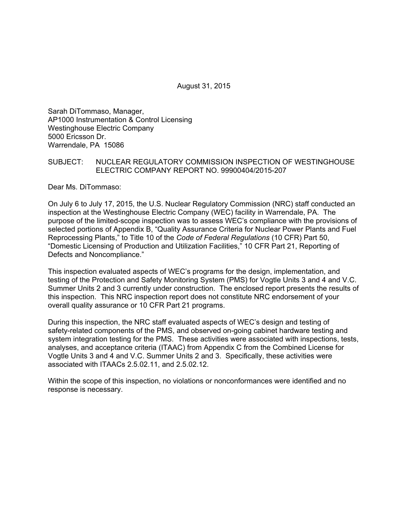August 31, 2015

Sarah DiTommaso, Manager, AP1000 Instrumentation & Control Licensing Westinghouse Electric Company 5000 Ericsson Dr. Warrendale, PA 15086

### SUBJECT: NUCLEAR REGULATORY COMMISSION INSPECTION OF WESTINGHOUSE ELECTRIC COMPANY REPORT NO. 99900404/2015-207

Dear Ms. DiTommaso:

On July 6 to July 17, 2015, the U.S. Nuclear Regulatory Commission (NRC) staff conducted an inspection at the Westinghouse Electric Company (WEC) facility in Warrendale, PA. The purpose of the limited-scope inspection was to assess WEC's compliance with the provisions of selected portions of Appendix B, "Quality Assurance Criteria for Nuclear Power Plants and Fuel Reprocessing Plants," to Title 10 of the *Code of Federal Regulations* (10 CFR) Part 50, "Domestic Licensing of Production and Utilization Facilities," 10 CFR Part 21, Reporting of Defects and Noncompliance."

This inspection evaluated aspects of WEC's programs for the design, implementation, and testing of the Protection and Safety Monitoring System (PMS) for Vogtle Units 3 and 4 and V.C. Summer Units 2 and 3 currently under construction. The enclosed report presents the results of this inspection. This NRC inspection report does not constitute NRC endorsement of your overall quality assurance or 10 CFR Part 21 programs.

During this inspection, the NRC staff evaluated aspects of WEC's design and testing of safety-related components of the PMS, and observed on-going cabinet hardware testing and system integration testing for the PMS. These activities were associated with inspections, tests, analyses, and acceptance criteria (ITAAC) from Appendix C from the Combined License for Vogtle Units 3 and 4 and V.C. Summer Units 2 and 3. Specifically, these activities were associated with ITAACs 2.5.02.11, and 2.5.02.12.

Within the scope of this inspection, no violations or nonconformances were identified and no response is necessary.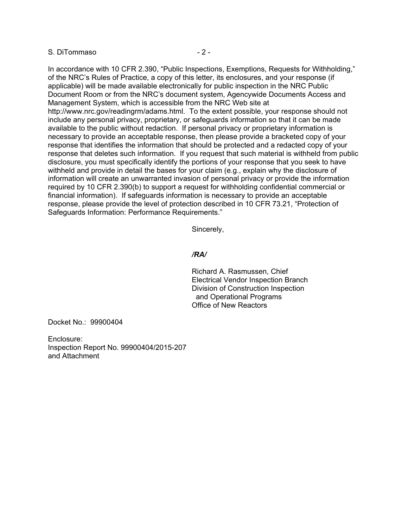#### S. DiTommaso  $-2$  -

In accordance with 10 CFR 2.390, "Public Inspections, Exemptions, Requests for Withholding," of the NRC's Rules of Practice, a copy of this letter, its enclosures, and your response (if applicable) will be made available electronically for public inspection in the NRC Public Document Room or from the NRC's document system, Agencywide Documents Access and Management System, which is accessible from the NRC Web site at http://www.nrc.gov/readingrm/adams.html. To the extent possible, your response should not include any personal privacy, proprietary, or safeguards information so that it can be made available to the public without redaction. If personal privacy or proprietary information is necessary to provide an acceptable response, then please provide a bracketed copy of your response that identifies the information that should be protected and a redacted copy of your response that deletes such information. If you request that such material is withheld from public disclosure, you must specifically identify the portions of your response that you seek to have withheld and provide in detail the bases for your claim (e.g., explain why the disclosure of information will create an unwarranted invasion of personal privacy or provide the information required by 10 CFR 2.390(b) to support a request for withholding confidential commercial or financial information). If safeguards information is necessary to provide an acceptable response, please provide the level of protection described in 10 CFR 73.21, "Protection of Safeguards Information: Performance Requirements."

Sincerely,

#### */RA/*

Richard A. Rasmussen, Chief Electrical Vendor Inspection Branch Division of Construction Inspection and Operational Programs Office of New Reactors

Docket No.: 99900404

Enclosure: Inspection Report No. 99900404/2015-207 and Attachment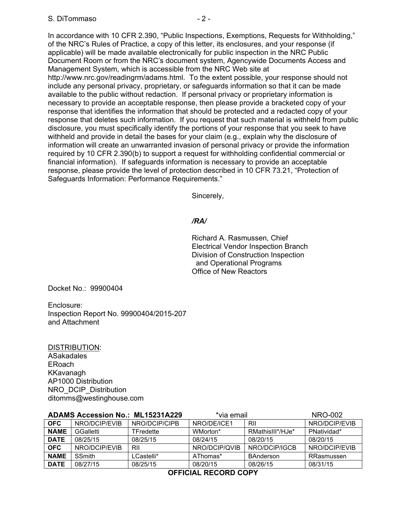In accordance with 10 CFR 2.390, "Public Inspections, Exemptions, Requests for Withholding," of the NRC's Rules of Practice, a copy of this letter, its enclosures, and your response (if applicable) will be made available electronically for public inspection in the NRC Public Document Room or from the NRC's document system, Agencywide Documents Access and Management System, which is accessible from the NRC Web site at http://www.nrc.gov/readingrm/adams.html. To the extent possible, your response should not include any personal privacy, proprietary, or safeguards information so that it can be made available to the public without redaction. If personal privacy or proprietary information is necessary to provide an acceptable response, then please provide a bracketed copy of your response that identifies the information that should be protected and a redacted copy of your response that deletes such information. If you request that such material is withheld from public disclosure, you must specifically identify the portions of your response that you seek to have withheld and provide in detail the bases for your claim (e.g., explain why the disclosure of information will create an unwarranted invasion of personal privacy or provide the information required by 10 CFR 2.390(b) to support a request for withholding confidential commercial or financial information). If safeguards information is necessary to provide an acceptable response, please provide the level of protection described in 10 CFR 73.21, "Protection of Safeguards Information: Performance Requirements."

Sincerely,

### */RA/*

Richard A. Rasmussen, Chief Electrical Vendor Inspection Branch Division of Construction Inspection and Operational Programs Office of New Reactors

Docket No.: 99900404

Enclosure: Inspection Report No. 99900404/2015-207 and Attachment

DISTRIBUTION: ASakadales ERoach KKavanagh AP1000 Distribution NRO\_DCIP\_Distribution ditomms@westinghouse.com

| <b>ADAMS Accession No.: ML15231A229</b> |               | *via email    |               | <b>NRO-002</b>   |               |
|-----------------------------------------|---------------|---------------|---------------|------------------|---------------|
| <b>OFC</b>                              | NRO/DCIP/EVIB | NRO/DCIP/CIPB | NRO/DE/ICE1   | RII              | NRO/DCIP/EVIB |
| <b>NAME</b>                             | GGalletti     | TFredette     | WMorton*      | RMathisIII*/HJe* | PNatividad*   |
| <b>DATE</b>                             | 08/25/15      | 08/25/15      | 08/24/15      | 08/20/15         | 08/20/15      |
| <b>OFC</b>                              | NRO/DCIP/EVIB | RII           | NRO/DCIP/QVIB | NRO/DCIP/IGCB    | NRO/DCIP/EVIB |
| <b>NAME</b>                             | <b>SSmith</b> | LCastelli*    | AThomas*      | <b>BAnderson</b> | RRasmussen    |
| <b>DATE</b>                             | 08/27/15      | 08/25/15      | 08/20/15      | 08/26/15         | 08/31/15      |

**OFFICIAL RECORD COPY**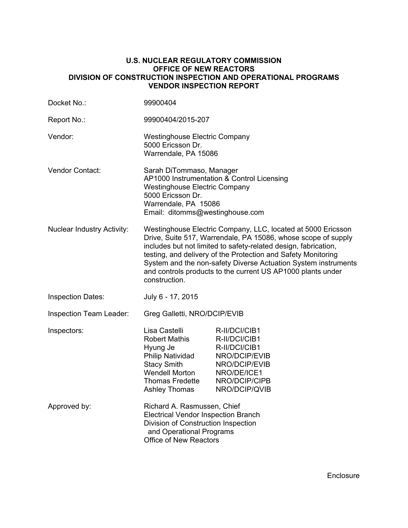#### **U.S. NUCLEAR REGULATORY COMMISSION OFFICE OF NEW REACTORS DIVISION OF CONSTRUCTION INSPECTION AND OPERATIONAL PROGRAMS VENDOR INSPECTION REPORT**

| Docket No.:                       | 99900404                                                                                                                                                                                                                                                                                                                                                                                                            |                                                                                                                                    |  |
|-----------------------------------|---------------------------------------------------------------------------------------------------------------------------------------------------------------------------------------------------------------------------------------------------------------------------------------------------------------------------------------------------------------------------------------------------------------------|------------------------------------------------------------------------------------------------------------------------------------|--|
| Report No.:                       | 99900404/2015-207                                                                                                                                                                                                                                                                                                                                                                                                   |                                                                                                                                    |  |
| Vendor:                           | <b>Westinghouse Electric Company</b><br>5000 Ericsson Dr.<br>Warrendale, PA 15086                                                                                                                                                                                                                                                                                                                                   |                                                                                                                                    |  |
| Vendor Contact:                   | Sarah DiTommaso, Manager<br>AP1000 Instrumentation & Control Licensing<br><b>Westinghouse Electric Company</b><br>5000 Ericsson Dr.<br>Warrendale, PA 15086<br>Email: ditomms@westinghouse.com                                                                                                                                                                                                                      |                                                                                                                                    |  |
| <b>Nuclear Industry Activity:</b> | Westinghouse Electric Company, LLC, located at 5000 Ericsson<br>Drive, Suite 517, Warrendale, PA 15086, whose scope of supply<br>includes but not limited to safety-related design, fabrication,<br>testing, and delivery of the Protection and Safety Monitoring<br>System and the non-safety Diverse Actuation System instruments<br>and controls products to the current US AP1000 plants under<br>construction. |                                                                                                                                    |  |
| <b>Inspection Dates:</b>          | July 6 - 17, 2015                                                                                                                                                                                                                                                                                                                                                                                                   |                                                                                                                                    |  |
| <b>Inspection Team Leader:</b>    | Greg Galletti, NRO/DCIP/EVIB                                                                                                                                                                                                                                                                                                                                                                                        |                                                                                                                                    |  |
| Inspectors:                       | Lisa Castelli<br><b>Robert Mathis</b><br>Hyung Je<br><b>Philip Natividad</b><br><b>Stacy Smith</b><br><b>Wendell Morton</b><br>Thomas Fredette<br><b>Ashley Thomas</b>                                                                                                                                                                                                                                              | R-II/DCI/CIB1<br>R-II/DCI/CIB1<br>R-II/DCI/CIB1<br>NRO/DCIP/EVIB<br>NRO/DCIP/EVIB<br>NRO/DE/ICE1<br>NRO/DCIP/CIPB<br>NRO/DCIP/QVIB |  |
| Approved by:                      | Richard A. Rasmussen, Chief<br><b>Electrical Vendor Inspection Branch</b><br>Division of Construction Inspection<br>and Operational Programs<br><b>Office of New Reactors</b>                                                                                                                                                                                                                                       |                                                                                                                                    |  |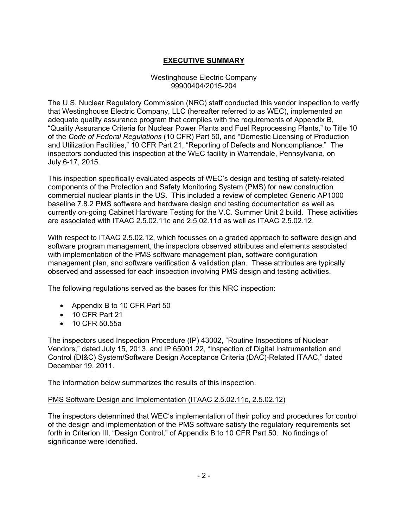# **EXECUTIVE SUMMARY**

### Westinghouse Electric Company 99900404/2015-204

The U.S. Nuclear Regulatory Commission (NRC) staff conducted this vendor inspection to verify that Westinghouse Electric Company, LLC (hereafter referred to as WEC), implemented an adequate quality assurance program that complies with the requirements of Appendix B, "Quality Assurance Criteria for Nuclear Power Plants and Fuel Reprocessing Plants," to Title 10 of the *Code of Federal Regulations* (10 CFR) Part 50, and "Domestic Licensing of Production and Utilization Facilities," 10 CFR Part 21, "Reporting of Defects and Noncompliance." The inspectors conducted this inspection at the WEC facility in Warrendale, Pennsylvania, on July 6-17, 2015.

This inspection specifically evaluated aspects of WEC's design and testing of safety-related components of the Protection and Safety Monitoring System (PMS) for new construction commercial nuclear plants in the US. This included a review of completed Generic AP1000 baseline 7.8.2 PMS software and hardware design and testing documentation as well as currently on-going Cabinet Hardware Testing for the V.C. Summer Unit 2 build. These activities are associated with ITAAC 2.5.02.11c and 2.5.02.11d as well as ITAAC 2.5.02.12.

With respect to ITAAC 2.5.02.12, which focusses on a graded approach to software design and software program management, the inspectors observed attributes and elements associated with implementation of the PMS software management plan, software configuration management plan, and software verification & validation plan. These attributes are typically observed and assessed for each inspection involving PMS design and testing activities.

The following regulations served as the bases for this NRC inspection:

- Appendix B to 10 CFR Part 50
- 10 CFR Part 21
- 10 CFR 50.55a

The inspectors used Inspection Procedure (IP) 43002, "Routine Inspections of Nuclear Vendors," dated July 15, 2013, and IP 65001.22, "Inspection of Digital Instrumentation and Control (DI&C) System/Software Design Acceptance Criteria (DAC)-Related ITAAC," dated December 19, 2011.

The information below summarizes the results of this inspection.

### PMS Software Design and Implementation (ITAAC 2.5.02.11c, 2.5.02.12)

The inspectors determined that WEC's implementation of their policy and procedures for control of the design and implementation of the PMS software satisfy the regulatory requirements set forth in Criterion III, "Design Control," of Appendix B to 10 CFR Part 50. No findings of significance were identified.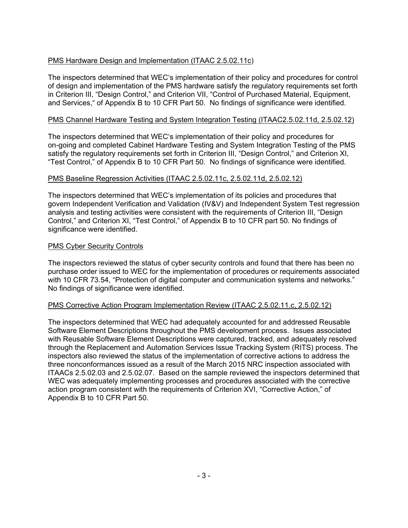# PMS Hardware Design and Implementation (ITAAC 2.5.02.11c)

The inspectors determined that WEC's implementation of their policy and procedures for control of design and implementation of the PMS hardware satisfy the regulatory requirements set forth in Criterion III, "Design Control," and Criterion VII, "Control of Purchased Material, Equipment, and Services," of Appendix B to 10 CFR Part 50. No findings of significance were identified.

### PMS Channel Hardware Testing and System Integration Testing (ITAAC2.5.02.11d, 2.5.02.12)

The inspectors determined that WEC's implementation of their policy and procedures for on-going and completed Cabinet Hardware Testing and System Integration Testing of the PMS satisfy the regulatory requirements set forth in Criterion III, "Design Control," and Criterion XI, "Test Control," of Appendix B to 10 CFR Part 50. No findings of significance were identified.

# PMS Baseline Regression Activities (ITAAC 2.5.02.11c, 2.5.02.11d, 2.5.02.12)

The inspectors determined that WEC's implementation of its policies and procedures that govern Independent Verification and Validation (IV&V) and Independent System Test regression analysis and testing activities were consistent with the requirements of Criterion III, "Design Control," and Criterion XI, "Test Control," of Appendix B to 10 CFR part 50. No findings of significance were identified.

### PMS Cyber Security Controls

The inspectors reviewed the status of cyber security controls and found that there has been no purchase order issued to WEC for the implementation of procedures or requirements associated with 10 CFR 73.54, "Protection of digital computer and communication systems and networks." No findings of significance were identified.

### PMS Corrective Action Program Implementation Review (ITAAC 2.5.02.11.c, 2.5.02.12)

The inspectors determined that WEC had adequately accounted for and addressed Reusable Software Element Descriptions throughout the PMS development process. Issues associated with Reusable Software Element Descriptions were captured, tracked, and adequately resolved through the Replacement and Automation Services Issue Tracking System (RITS) process. The inspectors also reviewed the status of the implementation of corrective actions to address the three nonconformances issued as a result of the March 2015 NRC inspection associated with ITAACs 2.5.02.03 and 2.5.02.07. Based on the sample reviewed the inspectors determined that WEC was adequately implementing processes and procedures associated with the corrective action program consistent with the requirements of Criterion XVI, "Corrective Action," of Appendix B to 10 CFR Part 50.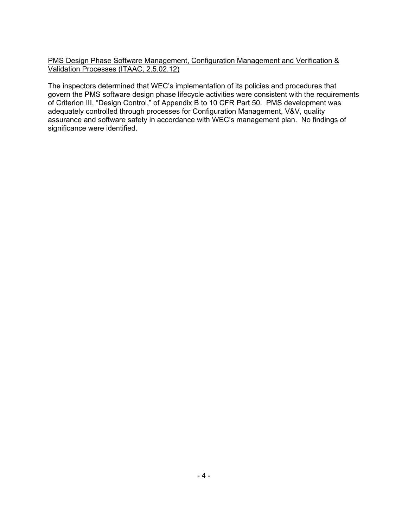PMS Design Phase Software Management, Configuration Management and Verification & Validation Processes (ITAAC, 2.5.02.12)

The inspectors determined that WEC's implementation of its policies and procedures that govern the PMS software design phase lifecycle activities were consistent with the requirements of Criterion III, "Design Control," of Appendix B to 10 CFR Part 50. PMS development was adequately controlled through processes for Configuration Management, V&V, quality assurance and software safety in accordance with WEC's management plan. No findings of significance were identified.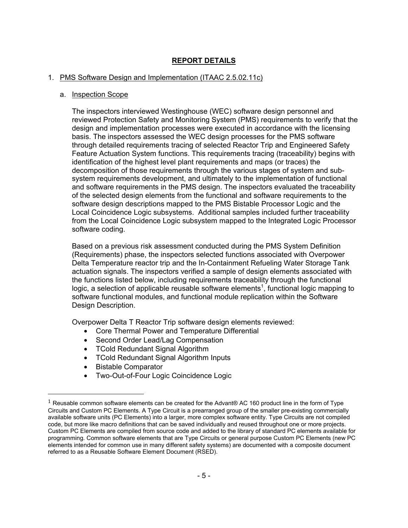# **REPORT DETAILS**

### 1. PMS Software Design and Implementation (ITAAC 2.5.02.11c)

#### a. Inspection Scope

The inspectors interviewed Westinghouse (WEC) software design personnel and reviewed Protection Safety and Monitoring System (PMS) requirements to verify that the design and implementation processes were executed in accordance with the licensing basis. The inspectors assessed the WEC design processes for the PMS software through detailed requirements tracing of selected Reactor Trip and Engineered Safety Feature Actuation System functions. This requirements tracing (traceability) begins with identification of the highest level plant requirements and maps (or traces) the decomposition of those requirements through the various stages of system and subsystem requirements development, and ultimately to the implementation of functional and software requirements in the PMS design. The inspectors evaluated the traceability of the selected design elements from the functional and software requirements to the software design descriptions mapped to the PMS Bistable Processor Logic and the Local Coincidence Logic subsystems. Additional samples included further traceability from the Local Coincidence Logic subsystem mapped to the Integrated Logic Processor software coding.

Based on a previous risk assessment conducted during the PMS System Definition (Requirements) phase, the inspectors selected functions associated with Overpower Delta Temperature reactor trip and the In-Containment Refueling Water Storage Tank actuation signals. The inspectors verified a sample of design elements associated with the functions listed below, including requirements traceability through the functional logic, a selection of applicable reusable software elements<sup>1</sup>, functional logic mapping to software functional modules, and functional module replication within the Software Design Description.

Overpower Delta T Reactor Trip software design elements reviewed:

- Core Thermal Power and Temperature Differential
- Second Order Lead/Lag Compensation
- TCold Redundant Signal Algorithm
- TCold Redundant Signal Algorithm Inputs
- Bistable Comparator

 $\overline{\phantom{a}}$ 

• Two-Out-of-Four Logic Coincidence Logic

 $1$  Reusable common software elements can be created for the Advant® AC 160 product line in the form of Type Circuits and Custom PC Elements. A Type Circuit is a prearranged group of the smaller pre-existing commercially available software units (PC Elements) into a larger, more complex software entity. Type Circuits are not compiled code, but more like macro definitions that can be saved individually and reused throughout one or more projects. Custom PC Elements are compiled from source code and added to the library of standard PC elements available for programming. Common software elements that are Type Circuits or general purpose Custom PC Elements (new PC elements intended for common use in many different safety systems) are documented with a composite document referred to as a Reusable Software Element Document (RSED).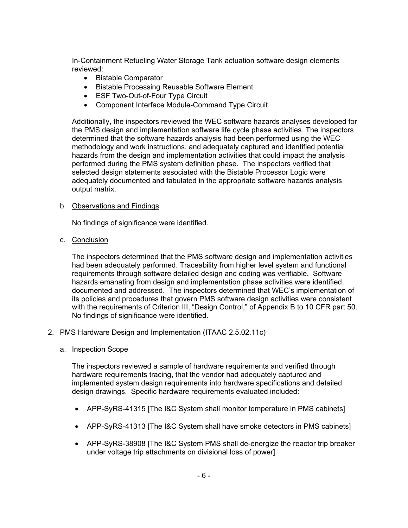In-Containment Refueling Water Storage Tank actuation software design elements reviewed:

- Bistable Comparator
- Bistable Processing Reusable Software Element
- ESF Two-Out-of-Four Type Circuit
- Component Interface Module-Command Type Circuit

Additionally, the inspectors reviewed the WEC software hazards analyses developed for the PMS design and implementation software life cycle phase activities. The inspectors determined that the software hazards analysis had been performed using the WEC methodology and work instructions, and adequately captured and identified potential hazards from the design and implementation activities that could impact the analysis performed during the PMS system definition phase. The inspectors verified that selected design statements associated with the Bistable Processor Logic were adequately documented and tabulated in the appropriate software hazards analysis output matrix.

### b. Observations and Findings

No findings of significance were identified.

c. Conclusion

The inspectors determined that the PMS software design and implementation activities had been adequately performed. Traceability from higher level system and functional requirements through software detailed design and coding was verifiable. Software hazards emanating from design and implementation phase activities were identified, documented and addressed. The inspectors determined that WEC's implementation of its policies and procedures that govern PMS software design activities were consistent with the requirements of Criterion III, "Design Control," of Appendix B to 10 CFR part 50. No findings of significance were identified.

### 2. PMS Hardware Design and Implementation (ITAAC 2.5.02.11c)

a. Inspection Scope

The inspectors reviewed a sample of hardware requirements and verified through hardware requirements tracing, that the vendor had adequately captured and implemented system design requirements into hardware specifications and detailed design drawings. Specific hardware requirements evaluated included:

- APP-SyRS-41315 [The I&C System shall monitor temperature in PMS cabinets]
- APP-SyRS-41313 [The I&C System shall have smoke detectors in PMS cabinets]
- APP-SyRS-38908 [The I&C System PMS shall de-energize the reactor trip breaker under voltage trip attachments on divisional loss of power]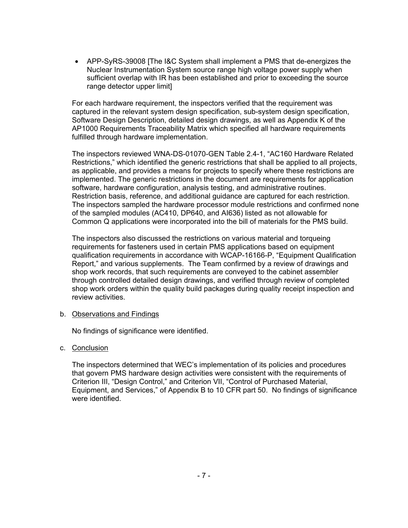• APP-SyRS-39008 [The I&C System shall implement a PMS that de-energizes the Nuclear Instrumentation System source range high voltage power supply when sufficient overlap with IR has been established and prior to exceeding the source range detector upper limit]

For each hardware requirement, the inspectors verified that the requirement was captured in the relevant system design specification, sub-system design specification, Software Design Description, detailed design drawings, as well as Appendix K of the AP1000 Requirements Traceability Matrix which specified all hardware requirements fulfilled through hardware implementation.

The inspectors reviewed WNA-DS-01070-GEN Table 2.4-1, "AC160 Hardware Related Restrictions," which identified the generic restrictions that shall be applied to all projects, as applicable, and provides a means for projects to specify where these restrictions are implemented. The generic restrictions in the document are requirements for application software, hardware configuration, analysis testing, and administrative routines. Restriction basis, reference, and additional guidance are captured for each restriction. The inspectors sampled the hardware processor module restrictions and confirmed none of the sampled modules (AC410, DP640, and AI636) listed as not allowable for Common Q applications were incorporated into the bill of materials for the PMS build.

The inspectors also discussed the restrictions on various material and torqueing requirements for fasteners used in certain PMS applications based on equipment qualification requirements in accordance with WCAP-16166-P, "Equipment Qualification Report," and various supplements. The Team confirmed by a review of drawings and shop work records, that such requirements are conveyed to the cabinet assembler through controlled detailed design drawings, and verified through review of completed shop work orders within the quality build packages during quality receipt inspection and review activities.

### b. Observations and Findings

No findings of significance were identified.

### c. Conclusion

The inspectors determined that WEC's implementation of its policies and procedures that govern PMS hardware design activities were consistent with the requirements of Criterion III, "Design Control," and Criterion VII, "Control of Purchased Material, Equipment, and Services," of Appendix B to 10 CFR part 50. No findings of significance were identified.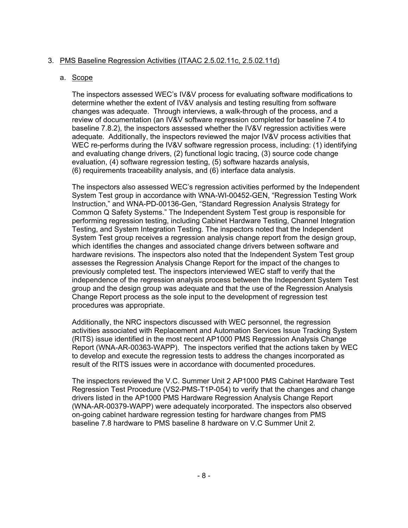# 3. PMS Baseline Regression Activities (ITAAC 2.5.02.11c, 2.5.02.11d)

### a. Scope

The inspectors assessed WEC's IV&V process for evaluating software modifications to determine whether the extent of IV&V analysis and testing resulting from software changes was adequate. Through interviews, a walk-through of the process, and a review of documentation (an IV&V software regression completed for baseline 7.4 to baseline 7.8.2), the inspectors assessed whether the IV&V regression activities were adequate. Additionally, the inspectors reviewed the major IV&V process activities that WEC re-performs during the IV&V software regression process, including: (1) identifying and evaluating change drivers, (2) functional logic tracing, (3) source code change evaluation, (4) software regression testing, (5) software hazards analysis, (6) requirements traceability analysis, and (6) interface data analysis.

The inspectors also assessed WEC's regression activities performed by the Independent System Test group in accordance with WNA-WI-00452-GEN, "Regression Testing Work Instruction," and WNA-PD-00136-Gen, "Standard Regression Analysis Strategy for Common Q Safety Systems." The Independent System Test group is responsible for performing regression testing, including Cabinet Hardware Testing, Channel Integration Testing, and System Integration Testing. The inspectors noted that the Independent System Test group receives a regression analysis change report from the design group, which identifies the changes and associated change drivers between software and hardware revisions. The inspectors also noted that the Independent System Test group assesses the Regression Analysis Change Report for the impact of the changes to previously completed test. The inspectors interviewed WEC staff to verify that the independence of the regression analysis process between the Independent System Test group and the design group was adequate and that the use of the Regression Analysis Change Report process as the sole input to the development of regression test procedures was appropriate.

Additionally, the NRC inspectors discussed with WEC personnel, the regression activities associated with Replacement and Automation Services Issue Tracking System (RITS) issue identified in the most recent AP1000 PMS Regression Analysis Change Report (WNA-AR-00363-WAPP). The inspectors verified that the actions taken by WEC to develop and execute the regression tests to address the changes incorporated as result of the RITS issues were in accordance with documented procedures.

The inspectors reviewed the V.C. Summer Unit 2 AP1000 PMS Cabinet Hardware Test Regression Test Procedure (VS2-PMS-T1P-054) to verify that the changes and change drivers listed in the AP1000 PMS Hardware Regression Analysis Change Report (WNA-AR-00379-WAPP) were adequately incorporated. The inspectors also observed on-going cabinet hardware regression testing for hardware changes from PMS baseline 7.8 hardware to PMS baseline 8 hardware on V.C Summer Unit 2.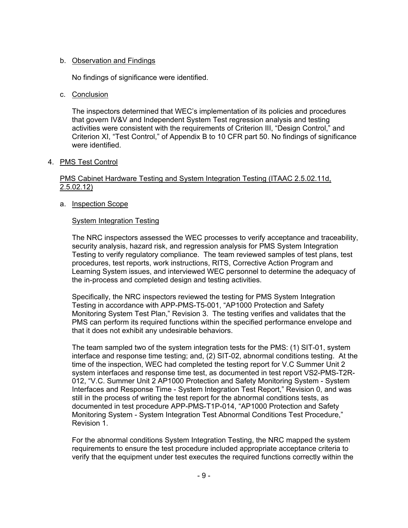### b. Observation and Findings

No findings of significance were identified.

#### c. Conclusion

The inspectors determined that WEC's implementation of its policies and procedures that govern IV&V and Independent System Test regression analysis and testing activities were consistent with the requirements of Criterion III, "Design Control," and Criterion XI, "Test Control," of Appendix B to 10 CFR part 50. No findings of significance were identified.

### 4. PMS Test Control

### PMS Cabinet Hardware Testing and System Integration Testing (ITAAC 2.5.02.11d,  $2.5.02.12$

### a. Inspection Scope

### System Integration Testing

The NRC inspectors assessed the WEC processes to verify acceptance and traceability, security analysis, hazard risk, and regression analysis for PMS System Integration Testing to verify regulatory compliance. The team reviewed samples of test plans, test procedures, test reports, work instructions, RITS, Corrective Action Program and Learning System issues, and interviewed WEC personnel to determine the adequacy of the in-process and completed design and testing activities.

Specifically, the NRC inspectors reviewed the testing for PMS System Integration Testing in accordance with APP-PMS-T5-001, "AP1000 Protection and Safety Monitoring System Test Plan," Revision 3. The testing verifies and validates that the PMS can perform its required functions within the specified performance envelope and that it does not exhibit any undesirable behaviors.

The team sampled two of the system integration tests for the PMS: (1) SIT-01, system interface and response time testing; and, (2) SIT-02, abnormal conditions testing. At the time of the inspection, WEC had completed the testing report for V.C Summer Unit 2 system interfaces and response time test, as documented in test report VS2-PMS-T2R-012, "V.C. Summer Unit 2 AP1000 Protection and Safety Monitoring System - System Interfaces and Response Time - System Integration Test Report," Revision 0, and was still in the process of writing the test report for the abnormal conditions tests, as documented in test procedure APP-PMS-T1P-014, "AP1000 Protection and Safety Monitoring System - System Integration Test Abnormal Conditions Test Procedure," Revision 1.

For the abnormal conditions System Integration Testing, the NRC mapped the system requirements to ensure the test procedure included appropriate acceptance criteria to verify that the equipment under test executes the required functions correctly within the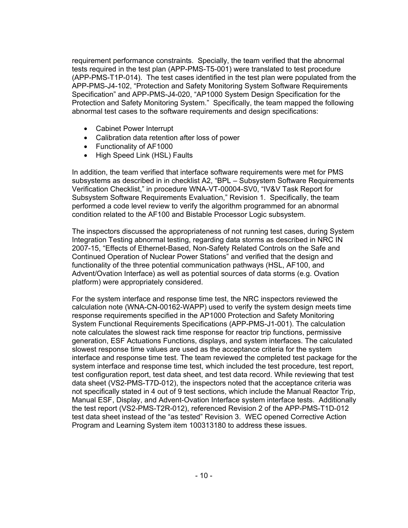requirement performance constraints. Specially, the team verified that the abnormal tests required in the test plan (APP-PMS-T5-001) were translated to test procedure (APP-PMS-T1P-014). The test cases identified in the test plan were populated from the APP-PMS-J4-102, "Protection and Safety Monitoring System Software Requirements Specification" and APP-PMS-J4-020, "AP1000 System Design Specification for the Protection and Safety Monitoring System." Specifically, the team mapped the following abnormal test cases to the software requirements and design specifications:

- Cabinet Power Interrupt
- Calibration data retention after loss of power
- Functionality of AF1000
- High Speed Link (HSL) Faults

In addition, the team verified that interface software requirements were met for PMS subsystems as described in in checklist A2, "BPL – Subsystem Software Requirements Verification Checklist," in procedure WNA-VT-00004-SV0, "IV&V Task Report for Subsystem Software Requirements Evaluation," Revision 1. Specifically, the team performed a code level review to verify the algorithm programmed for an abnormal condition related to the AF100 and Bistable Processor Logic subsystem.

The inspectors discussed the appropriateness of not running test cases, during System Integration Testing abnormal testing, regarding data storms as described in NRC IN 2007-15, "Effects of Ethernet-Based, Non-Safety Related Controls on the Safe and Continued Operation of Nuclear Power Stations" and verified that the design and functionality of the three potential communication pathways (HSL, AF100, and Advent/Ovation Interface) as well as potential sources of data storms (e.g. Ovation platform) were appropriately considered.

For the system interface and response time test, the NRC inspectors reviewed the calculation note (WNA-CN-00162-WAPP) used to verify the system design meets time response requirements specified in the AP1000 Protection and Safety Monitoring System Functional Requirements Specifications (APP-PMS-J1-001). The calculation note calculates the slowest rack time response for reactor trip functions, permissive generation, ESF Actuations Functions, displays, and system interfaces. The calculated slowest response time values are used as the acceptance criteria for the system interface and response time test. The team reviewed the completed test package for the system interface and response time test, which included the test procedure, test report, test configuration report, test data sheet, and test data record. While reviewing that test data sheet (VS2-PMS-T7D-012), the inspectors noted that the acceptance criteria was not specifically stated in 4 out of 9 test sections, which include the Manual Reactor Trip, Manual ESF, Display, and Advent-Ovation Interface system interface tests. Additionally the test report (VS2-PMS-T2R-012), referenced Revision 2 of the APP-PMS-T1D-012 test data sheet instead of the "as tested" Revision 3. WEC opened Corrective Action Program and Learning System item 100313180 to address these issues.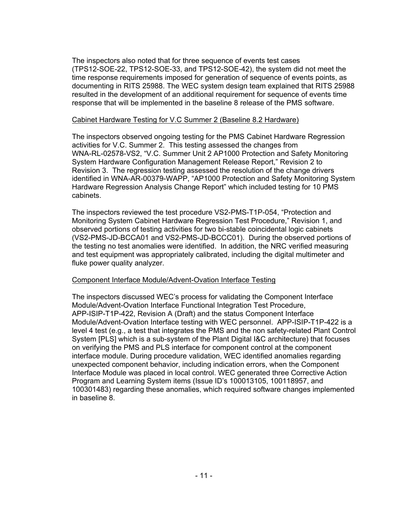The inspectors also noted that for three sequence of events test cases (TPS12-SOE-22, TPS12-SOE-33, and TPS12-SOE-42), the system did not meet the time response requirements imposed for generation of sequence of events points, as documenting in RITS 25988. The WEC system design team explained that RITS 25988 resulted in the development of an additional requirement for sequence of events time response that will be implemented in the baseline 8 release of the PMS software.

#### Cabinet Hardware Testing for V.C Summer 2 (Baseline 8.2 Hardware)

The inspectors observed ongoing testing for the PMS Cabinet Hardware Regression activities for V.C. Summer 2. This testing assessed the changes from WNA-RL-02578-VS2, "V.C. Summer Unit 2 AP1000 Protection and Safety Monitoring System Hardware Configuration Management Release Report," Revision 2 to Revision 3. The regression testing assessed the resolution of the change drivers identified in WNA-AR-00379-WAPP, "AP1000 Protection and Safety Monitoring System Hardware Regression Analysis Change Report" which included testing for 10 PMS cabinets.

The inspectors reviewed the test procedure VS2-PMS-T1P-054, "Protection and Monitoring System Cabinet Hardware Regression Test Procedure," Revision 1, and observed portions of testing activities for two bi-stable coincidental logic cabinets (VS2-PMS-JD-BCCA01 and VS2-PMS-JD-BCCC01). During the observed portions of the testing no test anomalies were identified. In addition, the NRC verified measuring and test equipment was appropriately calibrated, including the digital multimeter and fluke power quality analyzer.

### Component Interface Module/Advent-Ovation Interface Testing

The inspectors discussed WEC's process for validating the Component Interface Module/Advent-Ovation Interface Functional Integration Test Procedure, APP-ISIP-T1P-422, Revision A (Draft) and the status Component Interface Module/Advent-Ovation Interface testing with WEC personnel. APP-ISIP-T1P-422 is a level 4 test (e.g., a test that integrates the PMS and the non safety-related Plant Control System [PLS] which is a sub-system of the Plant Digital I&C architecture) that focuses on verifying the PMS and PLS interface for component control at the component interface module. During procedure validation, WEC identified anomalies regarding unexpected component behavior, including indication errors, when the Component Interface Module was placed in local control. WEC generated three Corrective Action Program and Learning System items (Issue ID's 100013105, 100118957, and 100301483) regarding these anomalies, which required software changes implemented in baseline 8.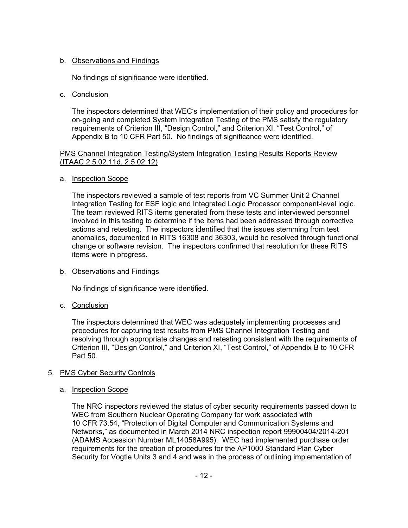# b. Observations and Findings

No findings of significance were identified.

### c. Conclusion

The inspectors determined that WEC's implementation of their policy and procedures for on-going and completed System Integration Testing of the PMS satisfy the regulatory requirements of Criterion III, "Design Control," and Criterion XI, "Test Control," of Appendix B to 10 CFR Part 50. No findings of significance were identified.

### PMS Channel Integration Testing/System Integration Testing Results Reports Review (ITAAC 2.5.02.11d, 2.5.02.12)

### a. Inspection Scope

The inspectors reviewed a sample of test reports from VC Summer Unit 2 Channel Integration Testing for ESF logic and Integrated Logic Processor component-level logic. The team reviewed RITS items generated from these tests and interviewed personnel involved in this testing to determine if the items had been addressed through corrective actions and retesting. The inspectors identified that the issues stemming from test anomalies, documented in RITS 16308 and 36303, would be resolved through functional change or software revision. The inspectors confirmed that resolution for these RITS items were in progress.

# b. Observations and Findings

No findings of significance were identified.

# c. Conclusion

The inspectors determined that WEC was adequately implementing processes and procedures for capturing test results from PMS Channel Integration Testing and resolving through appropriate changes and retesting consistent with the requirements of Criterion III, "Design Control," and Criterion XI, "Test Control," of Appendix B to 10 CFR Part 50.

# 5. PMS Cyber Security Controls

### a. Inspection Scope

The NRC inspectors reviewed the status of cyber security requirements passed down to WEC from Southern Nuclear Operating Company for work associated with 10 CFR 73.54, "Protection of Digital Computer and Communication Systems and Networks," as documented in March 2014 NRC inspection report 99900404/2014-201 (ADAMS Accession Number ML14058A995). WEC had implemented purchase order requirements for the creation of procedures for the AP1000 Standard Plan Cyber Security for Vogtle Units 3 and 4 and was in the process of outlining implementation of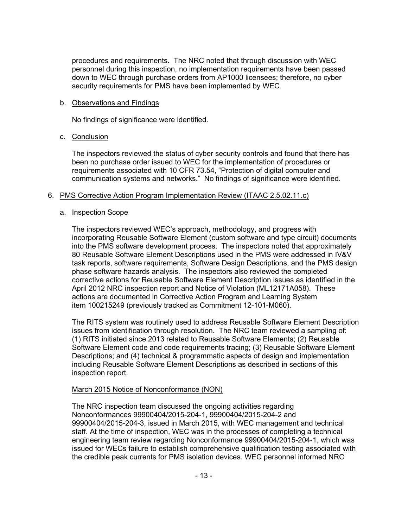procedures and requirements. The NRC noted that through discussion with WEC personnel during this inspection, no implementation requirements have been passed down to WEC through purchase orders from AP1000 licensees; therefore, no cyber security requirements for PMS have been implemented by WEC.

### b. Observations and Findings

No findings of significance were identified.

# c. Conclusion

The inspectors reviewed the status of cyber security controls and found that there has been no purchase order issued to WEC for the implementation of procedures or requirements associated with 10 CFR 73.54, "Protection of digital computer and communication systems and networks." No findings of significance were identified.

# 6. PMS Corrective Action Program Implementation Review (ITAAC 2.5.02.11.c)

# a. Inspection Scope

The inspectors reviewed WEC's approach, methodology, and progress with incorporating Reusable Software Element (custom software and type circuit) documents into the PMS software development process. The inspectors noted that approximately 80 Reusable Software Element Descriptions used in the PMS were addressed in IV&V task reports, software requirements, Software Design Descriptions, and the PMS design phase software hazards analysis. The inspectors also reviewed the completed corrective actions for Reusable Software Element Description issues as identified in the April 2012 NRC inspection report and Notice of Violation (ML12171A058). These actions are documented in Corrective Action Program and Learning System item 100215249 (previously tracked as Commitment 12-101-M060).

The RITS system was routinely used to address Reusable Software Element Description issues from identification through resolution. The NRC team reviewed a sampling of: (1) RITS initiated since 2013 related to Reusable Software Elements; (2) Reusable Software Element code and code requirements tracing; (3) Reusable Software Element Descriptions; and (4) technical & programmatic aspects of design and implementation including Reusable Software Element Descriptions as described in sections of this inspection report.

### March 2015 Notice of Nonconformance (NON)

The NRC inspection team discussed the ongoing activities regarding Nonconformances 99900404/2015-204-1, 99900404/2015-204-2 and 99900404/2015-204-3, issued in March 2015, with WEC management and technical staff. At the time of inspection, WEC was in the processes of completing a technical engineering team review regarding Nonconformance 99900404/2015-204-1, which was issued for WECs failure to establish comprehensive qualification testing associated with the credible peak currents for PMS isolation devices. WEC personnel informed NRC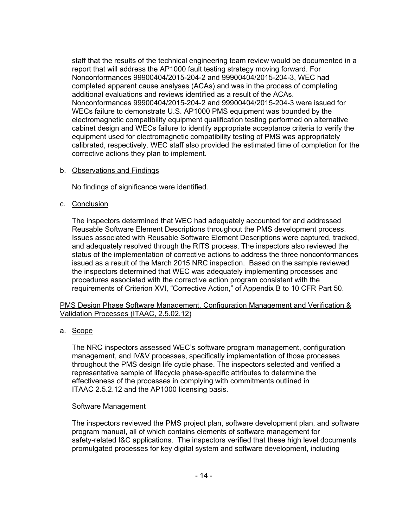staff that the results of the technical engineering team review would be documented in a report that will address the AP1000 fault testing strategy moving forward. For Nonconformances 99900404/2015-204-2 and 99900404/2015-204-3, WEC had completed apparent cause analyses (ACAs) and was in the process of completing additional evaluations and reviews identified as a result of the ACAs. Nonconformances 99900404/2015-204-2 and 99900404/2015-204-3 were issued for WECs failure to demonstrate U.S. AP1000 PMS equipment was bounded by the electromagnetic compatibility equipment qualification testing performed on alternative cabinet design and WECs failure to identify appropriate acceptance criteria to verify the equipment used for electromagnetic compatibility testing of PMS was appropriately calibrated, respectively. WEC staff also provided the estimated time of completion for the corrective actions they plan to implement.

b. Observations and Findings

No findings of significance were identified.

c. Conclusion

The inspectors determined that WEC had adequately accounted for and addressed Reusable Software Element Descriptions throughout the PMS development process. Issues associated with Reusable Software Element Descriptions were captured, tracked, and adequately resolved through the RITS process. The inspectors also reviewed the status of the implementation of corrective actions to address the three nonconformances issued as a result of the March 2015 NRC inspection. Based on the sample reviewed the inspectors determined that WEC was adequately implementing processes and procedures associated with the corrective action program consistent with the requirements of Criterion XVI, "Corrective Action," of Appendix B to 10 CFR Part 50.

PMS Design Phase Software Management, Configuration Management and Verification & Validation Processes (ITAAC, 2.5.02.12)

a. Scope

The NRC inspectors assessed WEC's software program management, configuration management, and IV&V processes, specifically implementation of those processes throughout the PMS design life cycle phase. The inspectors selected and verified a representative sample of lifecycle phase-specific attributes to determine the effectiveness of the processes in complying with commitments outlined in ITAAC 2.5.2.12 and the AP1000 licensing basis.

# Software Management

The inspectors reviewed the PMS project plan, software development plan, and software program manual, all of which contains elements of software management for safety-related I&C applications. The inspectors verified that these high level documents promulgated processes for key digital system and software development, including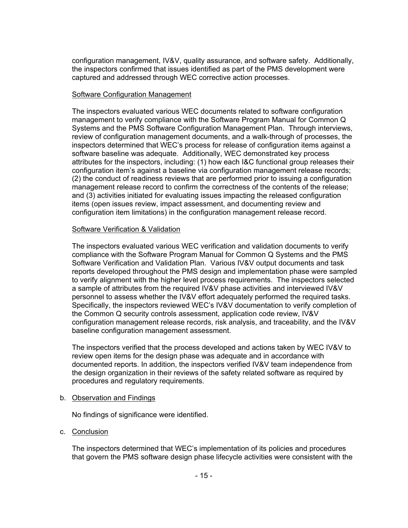configuration management, IV&V, quality assurance, and software safety. Additionally, the inspectors confirmed that issues identified as part of the PMS development were captured and addressed through WEC corrective action processes.

### Software Configuration Management

The inspectors evaluated various WEC documents related to software configuration management to verify compliance with the Software Program Manual for Common Q Systems and the PMS Software Configuration Management Plan. Through interviews, review of configuration management documents, and a walk-through of processes, the inspectors determined that WEC's process for release of configuration items against a software baseline was adequate. Additionally, WEC demonstrated key process attributes for the inspectors, including: (1) how each I&C functional group releases their configuration item's against a baseline via configuration management release records; (2) the conduct of readiness reviews that are performed prior to issuing a configuration management release record to confirm the correctness of the contents of the release; and (3) activities initiated for evaluating issues impacting the released configuration items (open issues review, impact assessment, and documenting review and configuration item limitations) in the configuration management release record.

### Software Verification & Validation

The inspectors evaluated various WEC verification and validation documents to verify compliance with the Software Program Manual for Common Q Systems and the PMS Software Verification and Validation Plan. Various IV&V output documents and task reports developed throughout the PMS design and implementation phase were sampled to verify alignment with the higher level process requirements. The inspectors selected a sample of attributes from the required IV&V phase activities and interviewed IV&V personnel to assess whether the IV&V effort adequately performed the required tasks. Specifically, the inspectors reviewed WEC's IV&V documentation to verify completion of the Common Q security controls assessment, application code review, IV&V configuration management release records, risk analysis, and traceability, and the IV&V baseline configuration management assessment.

The inspectors verified that the process developed and actions taken by WEC IV&V to review open items for the design phase was adequate and in accordance with documented reports. In addition, the inspectors verified IV&V team independence from the design organization in their reviews of the safety related software as required by procedures and regulatory requirements.

#### b. Observation and Findings

No findings of significance were identified.

#### c. Conclusion

The inspectors determined that WEC's implementation of its policies and procedures that govern the PMS software design phase lifecycle activities were consistent with the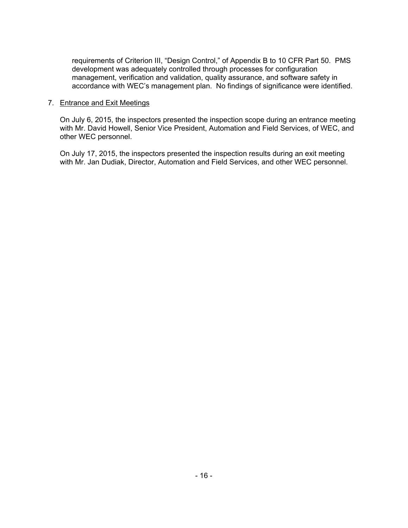requirements of Criterion III, "Design Control," of Appendix B to 10 CFR Part 50. PMS development was adequately controlled through processes for configuration management, verification and validation, quality assurance, and software safety in accordance with WEC's management plan. No findings of significance were identified.

### 7. Entrance and Exit Meetings

On July 6, 2015, the inspectors presented the inspection scope during an entrance meeting with Mr. David Howell, Senior Vice President, Automation and Field Services, of WEC, and other WEC personnel.

On July 17, 2015, the inspectors presented the inspection results during an exit meeting with Mr. Jan Dudiak, Director, Automation and Field Services, and other WEC personnel.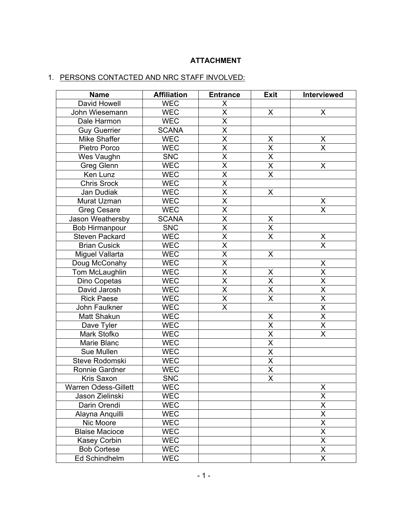# **ATTACHMENT**

# 1. PERSONS CONTACTED AND NRC STAFF INVOLVED:

| <b>Name</b>           | <b>Affiliation</b> | <b>Entrance</b>         | <b>Exit</b>             | Interviewed             |
|-----------------------|--------------------|-------------------------|-------------------------|-------------------------|
| David Howell          | WEC                | X                       |                         |                         |
| John Wiesemann        | <b>WEC</b>         | $\overline{\mathsf{x}}$ | X                       | X                       |
| Dale Harmon           | <b>WEC</b>         | $\overline{\mathsf{x}}$ |                         |                         |
| <b>Guy Guerrier</b>   | <b>SCANA</b>       | $\overline{\mathsf{x}}$ |                         |                         |
| Mike Shaffer          | WEC                | $\overline{\mathsf{x}}$ | Χ                       | $\pmb{\mathsf{X}}$      |
| Pietro Porco          | <b>WEC</b>         | $\overline{\mathsf{x}}$ | $\overline{\mathsf{x}}$ | $\overline{\mathsf{x}}$ |
| Wes Vaughn            | <b>SNC</b>         | $\overline{\mathsf{x}}$ | $\overline{\mathsf{x}}$ |                         |
| Greg Glenn            | <b>WEC</b>         | $\overline{\mathsf{x}}$ | $\overline{\mathsf{x}}$ | X                       |
| Ken Lunz              | <b>WEC</b>         | $\overline{\mathsf{x}}$ | X                       |                         |
| <b>Chris Srock</b>    | <b>WEC</b>         | $\overline{\mathsf{x}}$ |                         |                         |
| Jan Dudiak            | <b>WEC</b>         | $\overline{\mathsf{x}}$ | X                       |                         |
| Murat Uzman           | <b>WEC</b>         | $\overline{\mathsf{x}}$ |                         | X                       |
| <b>Greg Cesare</b>    | <b>WEC</b>         | $\overline{\mathsf{x}}$ |                         | $\overline{\mathsf{x}}$ |
| Jason Weathersby      | <b>SCANA</b>       | $\overline{\mathsf{x}}$ | Χ                       |                         |
| <b>Bob Hirmanpour</b> | <b>SNC</b>         | $\overline{\mathsf{x}}$ | $\overline{\mathsf{x}}$ |                         |
| <b>Steven Packard</b> | <b>WEC</b>         | $\overline{\mathsf{x}}$ | $\overline{\mathsf{X}}$ | X                       |
| <b>Brian Cusick</b>   | <b>WEC</b>         | $\overline{\mathsf{x}}$ |                         | $\overline{\mathsf{x}}$ |
| Miguel Vallarta       | <b>WEC</b>         | $\overline{\mathsf{x}}$ | X                       |                         |
| Doug McConahy         | <b>WEC</b>         | $\overline{\mathsf{x}}$ |                         | $\pmb{\mathsf{X}}$      |
| Tom McLaughlin        | <b>WEC</b>         | $\overline{\mathsf{x}}$ | X                       | $\overline{\mathsf{x}}$ |
| Dino Copetas          | <b>WEC</b>         | $\overline{\mathsf{x}}$ | $\overline{\mathsf{x}}$ | $\overline{\mathsf{x}}$ |
| David Jarosh          | <b>WEC</b>         | $\overline{\mathsf{x}}$ | X                       | X                       |
| <b>Rick Paese</b>     | <b>WEC</b>         | $\overline{\mathsf{x}}$ | $\overline{\mathsf{x}}$ | $\overline{\mathsf{x}}$ |
| John Faulkner         | <b>WEC</b>         | $\overline{\mathsf{x}}$ |                         | X                       |
| Matt Shakun           | <b>WEC</b>         |                         | X                       | $\overline{\mathsf{x}}$ |
| Dave Tyler            | <b>WEC</b>         |                         | $\overline{\mathsf{x}}$ | $\overline{\mathsf{x}}$ |
| Mark Stofko           | <b>WEC</b>         |                         | $\overline{\mathsf{x}}$ | $\overline{\mathsf{x}}$ |
| Marie Blanc           | <b>WEC</b>         |                         | $\overline{\mathsf{x}}$ |                         |
| Sue Mullen            | <b>WEC</b>         |                         | $\overline{\mathsf{x}}$ |                         |
| Steve Rodomski        | <b>WEC</b>         |                         | $\overline{\mathsf{x}}$ |                         |
| Ronnie Gardner        | <b>WEC</b>         |                         | $\overline{\mathsf{x}}$ |                         |
| Kris Saxon            | <b>SNC</b>         |                         | $\overline{\sf x}$      |                         |
| Warren Odess-Gillett  | <b>WEC</b>         |                         |                         | $\overline{\mathsf{X}}$ |
| Jason Zielinski       | <b>WEC</b>         |                         |                         | $\overline{\mathsf{x}}$ |
| Darin Orendi          | <b>WEC</b>         |                         |                         | $\pmb{\mathsf{X}}$      |
| Alayna Anquilli       | <b>WEC</b>         |                         |                         | $\overline{\mathsf{x}}$ |
| Nic Moore             | <b>WEC</b>         |                         |                         | $\overline{\mathsf{x}}$ |
| <b>Blaise Macioce</b> | <b>WEC</b>         |                         |                         | $\overline{\mathsf{x}}$ |
| <b>Kasey Corbin</b>   | <b>WEC</b>         |                         |                         | $\overline{\mathsf{x}}$ |
| <b>Bob Cortese</b>    | <b>WEC</b>         |                         |                         | $\overline{\mathsf{x}}$ |
| Ed Schindhelm         | <b>WEC</b>         |                         |                         | $\sf X$                 |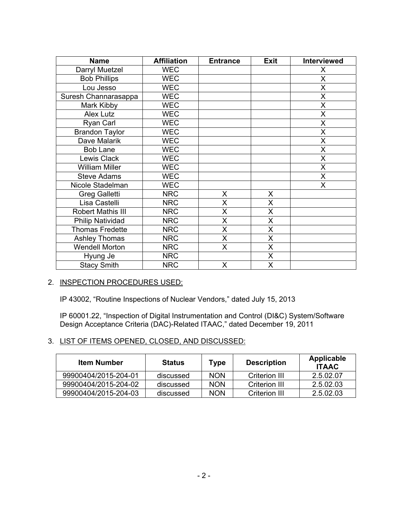| <b>Name</b>              | <b>Affiliation</b> | <b>Entrance</b> | <b>Exit</b> | <b>Interviewed</b> |
|--------------------------|--------------------|-----------------|-------------|--------------------|
| Darryl Muetzel           | <b>WEC</b>         |                 |             | X                  |
| <b>Bob Phillips</b>      | <b>WEC</b>         |                 |             | X                  |
| Lou Jesso                | <b>WEC</b>         |                 |             | X                  |
| Suresh Channarasappa     | <b>WEC</b>         |                 |             | X                  |
| Mark Kibby               | <b>WEC</b>         |                 |             | X                  |
| Alex Lutz                | <b>WEC</b>         |                 |             | X                  |
| Ryan Carl                | <b>WEC</b>         |                 |             | X                  |
| <b>Brandon Taylor</b>    | <b>WEC</b>         |                 |             | X                  |
| Dave Malarik             | <b>WEC</b>         |                 |             | Χ                  |
| <b>Bob Lane</b>          | <b>WEC</b>         |                 |             | X                  |
| Lewis Clack              | <b>WEC</b>         |                 |             | Χ                  |
| <b>William Miller</b>    | <b>WEC</b>         |                 |             | X                  |
| <b>Steve Adams</b>       | <b>WEC</b>         |                 |             | X                  |
| Nicole Stadelman         | <b>WEC</b>         |                 |             | Χ                  |
| Greg Galletti            | <b>NRC</b>         | X               | X.          |                    |
| Lisa Castelli            | <b>NRC</b>         | X               | X.          |                    |
| <b>Robert Mathis III</b> | <b>NRC</b>         | X               | X.          |                    |
| <b>Philip Natividad</b>  | <b>NRC</b>         | X               | X.          |                    |
| <b>Thomas Fredette</b>   | <b>NRC</b>         | X               | X           |                    |
| <b>Ashley Thomas</b>     | <b>NRC</b>         | X               | X           |                    |
| <b>Wendell Morton</b>    | <b>NRC</b>         | Χ               | X.          |                    |
| Hyung Je                 | <b>NRC</b>         |                 | X           |                    |
| <b>Stacy Smith</b>       | <b>NRC</b>         | X               | X.          |                    |

#### 2. INSPECTION PROCEDURES USED:

IP 43002, "Routine Inspections of Nuclear Vendors," dated July 15, 2013

IP 60001.22, "Inspection of Digital Instrumentation and Control (DI&C) System/Software Design Acceptance Criteria (DAC)-Related ITAAC," dated December 19, 2011

### 3. LIST OF ITEMS OPENED, CLOSED, AND DISCUSSED:

| <b>Item Number</b>   | <b>Status</b> | Type       | <b>Description</b> | Applicable<br><b>ITAAC</b> |
|----------------------|---------------|------------|--------------------|----------------------------|
| 99900404/2015-204-01 | discussed     | <b>NON</b> | Criterion III      | 2.5.02.07                  |
| 99900404/2015-204-02 | discussed     | <b>NON</b> | Criterion III      | 2.5.02.03                  |
| 99900404/2015-204-03 | discussed     | <b>NON</b> | Criterion III      | 2.5.02.03                  |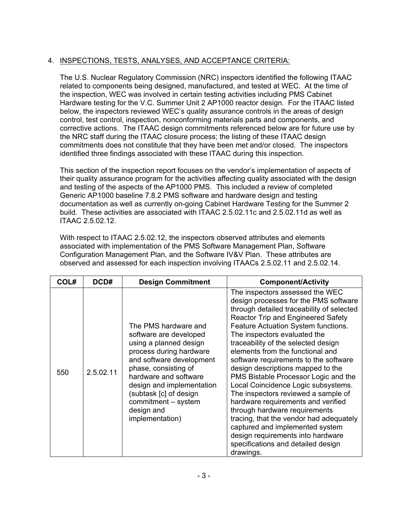# 4. INSPECTIONS, TESTS, ANALYSES, AND ACCEPTANCE CRITERIA:

The U.S. Nuclear Regulatory Commission (NRC) inspectors identified the following ITAAC related to components being designed, manufactured, and tested at WEC. At the time of the inspection, WEC was involved in certain testing activities including PMS Cabinet Hardware testing for the V.C. Summer Unit 2 AP1000 reactor design. For the ITAAC listed below, the inspectors reviewed WEC's quality assurance controls in the areas of design control, test control, inspection, nonconforming materials parts and components, and corrective actions. The ITAAC design commitments referenced below are for future use by the NRC staff during the ITAAC closure process; the listing of these ITAAC design commitments does not constitute that they have been met and/or closed. The inspectors identified three findings associated with these ITAAC during this inspection.

This section of the inspection report focuses on the vendor's implementation of aspects of their quality assurance program for the activities affecting quality associated with the design and testing of the aspects of the AP1000 PMS. This included a review of completed Generic AP1000 baseline 7.8.2 PMS software and hardware design and testing documentation as well as currently on-going Cabinet Hardware Testing for the Summer 2 build. These activities are associated with ITAAC 2.5.02.11c and 2.5.02.11d as well as ITAAC 2.5.02.12.

With respect to ITAAC 2.5.02.12, the inspectors observed attributes and elements associated with implementation of the PMS Software Management Plan, Software Configuration Management Plan, and the Software IV&V Plan. These attributes are observed and assessed for each inspection involving ITAACs 2.5.02.11 and 2.5.02.14.

| COL# | DCD#      | <b>Design Commitment</b>                                                                                                                                                                                                                                                                        | <b>Component/Activity</b>                                                                                                                                                                                                                                                                                                                                                                                                                                                                                                                                                                                                                                                                                                                                             |
|------|-----------|-------------------------------------------------------------------------------------------------------------------------------------------------------------------------------------------------------------------------------------------------------------------------------------------------|-----------------------------------------------------------------------------------------------------------------------------------------------------------------------------------------------------------------------------------------------------------------------------------------------------------------------------------------------------------------------------------------------------------------------------------------------------------------------------------------------------------------------------------------------------------------------------------------------------------------------------------------------------------------------------------------------------------------------------------------------------------------------|
| 550  | 2.5.02.11 | The PMS hardware and<br>software are developed<br>using a planned design<br>process during hardware<br>and software development<br>phase, consisting of<br>hardware and software<br>design and implementation<br>(subtask [c] of design<br>commitment - system<br>design and<br>implementation) | The inspectors assessed the WEC<br>design processes for the PMS software<br>through detailed traceability of selected<br><b>Reactor Trip and Engineered Safety</b><br>Feature Actuation System functions.<br>The inspectors evaluated the<br>traceability of the selected design<br>elements from the functional and<br>software requirements to the software<br>design descriptions mapped to the<br>PMS Bistable Processor Logic and the<br>Local Coincidence Logic subsystems.<br>The inspectors reviewed a sample of<br>hardware requirements and verified<br>through hardware requirements<br>tracing, that the vendor had adequately<br>captured and implemented system<br>design requirements into hardware<br>specifications and detailed design<br>drawings. |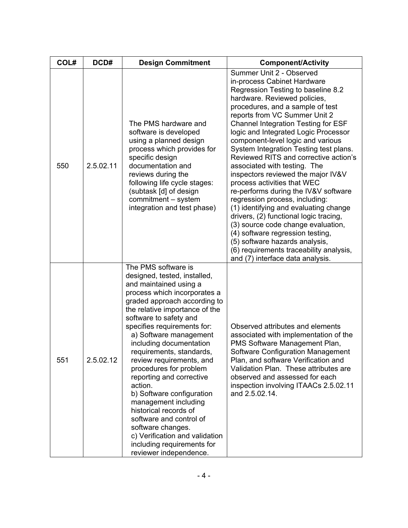| COL# | DCD#      | <b>Design Commitment</b>                                                                                                                                                                                                                                                                                                                                                                                                                                                                                                                                                                                                                       | <b>Component/Activity</b>                                                                                                                                                                                                                                                                                                                                                                                                                                                                                                                                                                                                                                                                                                                                                                                                                                                     |
|------|-----------|------------------------------------------------------------------------------------------------------------------------------------------------------------------------------------------------------------------------------------------------------------------------------------------------------------------------------------------------------------------------------------------------------------------------------------------------------------------------------------------------------------------------------------------------------------------------------------------------------------------------------------------------|-------------------------------------------------------------------------------------------------------------------------------------------------------------------------------------------------------------------------------------------------------------------------------------------------------------------------------------------------------------------------------------------------------------------------------------------------------------------------------------------------------------------------------------------------------------------------------------------------------------------------------------------------------------------------------------------------------------------------------------------------------------------------------------------------------------------------------------------------------------------------------|
| 550  | 2.5.02.11 | The PMS hardware and<br>software is developed<br>using a planned design<br>process which provides for<br>specific design<br>documentation and<br>reviews during the<br>following life cycle stages:<br>(subtask [d] of design<br>commitment - system<br>integration and test phase)                                                                                                                                                                                                                                                                                                                                                            | Summer Unit 2 - Observed<br>in-process Cabinet Hardware<br>Regression Testing to baseline 8.2<br>hardware. Reviewed policies,<br>procedures, and a sample of test<br>reports from VC Summer Unit 2<br><b>Channel Integration Testing for ESF</b><br>logic and Integrated Logic Processor<br>component-level logic and various<br>System Integration Testing test plans.<br>Reviewed RITS and corrective action's<br>associated with testing. The<br>inspectors reviewed the major IV&V<br>process activities that WEC<br>re-performs during the IV&V software<br>regression process, including:<br>(1) identifying and evaluating change<br>drivers, (2) functional logic tracing,<br>(3) source code change evaluation,<br>(4) software regression testing,<br>(5) software hazards analysis,<br>(6) requirements traceability analysis,<br>and (7) interface data analysis. |
| 551  | 2.5.02.12 | The PMS software is<br>designed, tested, installed,<br>and maintained using a<br>process which incorporates a<br>graded approach according to<br>the relative importance of the<br>software to safety and<br>specifies requirements for:<br>a) Software management<br>including documentation<br>requirements, standards,<br>review requirements, and<br>procedures for problem<br>reporting and corrective<br>action.<br>b) Software configuration<br>management including<br>historical records of<br>software and control of<br>software changes.<br>c) Verification and validation<br>including requirements for<br>reviewer independence. | Observed attributes and elements<br>associated with implementation of the<br>PMS Software Management Plan,<br>Software Configuration Management<br>Plan, and software Verification and<br>Validation Plan. These attributes are<br>observed and assessed for each<br>inspection involving ITAACs 2.5.02.11<br>and 2.5.02.14.                                                                                                                                                                                                                                                                                                                                                                                                                                                                                                                                                  |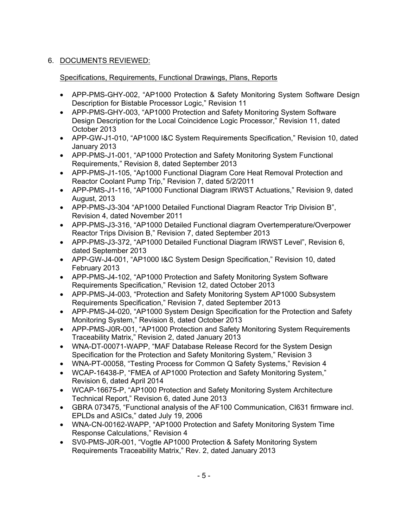# 6. DOCUMENTS REVIEWED:

# Specifications, Requirements, Functional Drawings, Plans, Reports

- APP-PMS-GHY-002, "AP1000 Protection & Safety Monitoring System Software Design Description for Bistable Processor Logic," Revision 11
- APP-PMS-GHY-003, "AP1000 Protection and Safety Monitoring System Software Design Description for the Local Coincidence Logic Processor," Revision 11, dated October 2013
- APP-GW-J1-010, "AP1000 I&C System Requirements Specification," Revision 10, dated January 2013
- APP-PMS-J1-001, "AP1000 Protection and Safety Monitoring System Functional Requirements," Revision 8, dated September 2013
- APP-PMS-J1-105, "Ap1000 Functional Diagram Core Heat Removal Protection and Reactor Coolant Pump Trip," Revision 7, dated 5/2/2011
- APP-PMS-J1-116, "AP1000 Functional Diagram IRWST Actuations," Revision 9, dated August, 2013
- APP-PMS-J3-304 "AP1000 Detailed Functional Diagram Reactor Trip Division B", Revision 4, dated November 2011
- APP-PMS-J3-316, "AP1000 Detailed Functional diagram Overtemperature/Overpower Reactor Trips Division B," Revision 7, dated September 2013
- APP-PMS-J3-372, "AP1000 Detailed Functional Diagram IRWST Level", Revision 6, dated September 2013
- APP-GW-J4-001, "AP1000 I&C System Design Specification," Revision 10, dated February 2013
- APP-PMS-J4-102, "AP1000 Protection and Safety Monitoring System Software Requirements Specification," Revision 12, dated October 2013
- APP-PMS-J4-003, "Protection and Safety Monitoring System AP1000 Subsystem Requirements Specification," Revision 7, dated September 2013
- APP-PMS-J4-020, "AP1000 System Design Specification for the Protection and Safety Monitoring System," Revision 8, dated October 2013
- APP-PMS-J0R-001, "AP1000 Protection and Safety Monitoring System Requirements Traceability Matrix," Revision 2, dated January 2013
- WNA-DT-00071-WAPP, "MAF Database Release Record for the System Design Specification for the Protection and Safety Monitoring System," Revision 3
- WNA-PT-00058, "Testing Process for Common Q Safety Systems," Revision 4
- WCAP-16438-P, "FMEA of AP1000 Protection and Safety Monitoring System," Revision 6, dated April 2014
- WCAP-16675-P, "AP1000 Protection and Safety Monitoring System Architecture Technical Report," Revision 6, dated June 2013
- GBRA 073475, "Functional analysis of the AF100 Communication, CI631 firmware incl. EPLDs and ASICs," dated July 19, 2006
- WNA-CN-00162-WAPP, "AP1000 Protection and Safety Monitoring System Time Response Calculations," Revision 4
- SV0-PMS-J0R-001, "Vogtle AP1000 Protection & Safety Monitoring System Requirements Traceability Matrix," Rev. 2, dated January 2013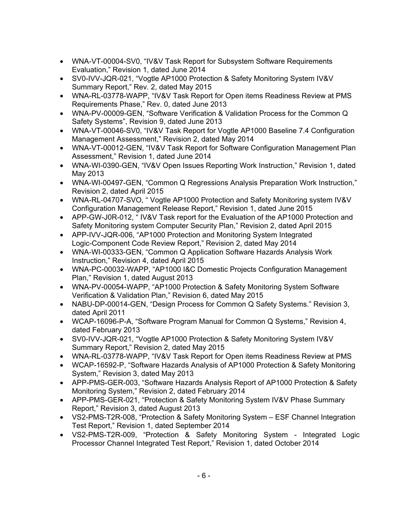- WNA-VT-00004-SV0, "IV&V Task Report for Subsystem Software Requirements Evaluation," Revision 1, dated June 2014
- SV0-IVV-JQR-021, "Vogtle AP1000 Protection & Safety Monitoring System IV&V Summary Report," Rev. 2, dated May 2015
- WNA-RL-03778-WAPP, "IV&V Task Report for Open items Readiness Review at PMS Requirements Phase," Rev. 0, dated June 2013
- WNA-PV-00009-GEN, "Software Verification & Validation Process for the Common Q Safety Systems", Revision 9, dated June 2013
- WNA-VT-00046-SV0, "IV&V Task Report for Vogtle AP1000 Baseline 7.4 Configuration Management Assessment," Revision 2, dated May 2014
- WNA-VT-00012-GEN, "IV&V Task Report for Software Configuration Management Plan Assessment," Revision 1, dated June 2014
- WNA-WI-0390-GEN, "IV&V Open Issues Reporting Work Instruction," Revision 1, dated May 2013
- WNA-WI-00497-GEN, "Common Q Regressions Analysis Preparation Work Instruction," Revision 2, dated April 2015
- WNA-RL-04707-SVO, " Vogtle AP1000 Protection and Safety Monitoring system IV&V Configuration Management Release Report," Revision 1, dated June 2015
- APP-GW-J0R-012, "IV&V Task report for the Evaluation of the AP1000 Protection and Safety Monitoring system Computer Security Plan," Revision 2, dated April 2015
- APP-IVV-JQR-006, "AP1000 Protection and Monitoring System Integrated Logic-Component Code Review Report," Revision 2, dated May 2014
- WNA-WI-00333-GEN, "Common Q Application Software Hazards Analysis Work Instruction," Revision 4, dated April 2015
- WNA-PC-00032-WAPP, "AP1000 I&C Domestic Projects Configuration Management Plan," Revision 1, dated August 2013
- WNA-PV-00054-WAPP, "AP1000 Protection & Safety Monitoring System Software Verification & Validation Plan," Revision 6, dated May 2015
- NABU-DP-00014-GEN, "Design Process for Common Q Safety Systems." Revision 3, dated April 2011
- WCAP-16096-P-A, "Software Program Manual for Common Q Systems," Revision 4, dated February 2013
- SV0-IVV-JQR-021, "Vogtle AP1000 Protection & Safety Monitoring System IV&V Summary Report," Revision 2, dated May 2015
- WNA-RL-03778-WAPP, "IV&V Task Report for Open items Readiness Review at PMS
- WCAP-16592-P, "Software Hazards Analysis of AP1000 Protection & Safety Monitoring System," Revision 3, dated May 2013
- APP-PMS-GER-003, "Software Hazards Analysis Report of AP1000 Protection & Safety Monitoring System," Revision 2, dated February 2014
- APP-PMS-GER-021, "Protection & Safety Monitoring System IV&V Phase Summary Report," Revision 3, dated August 2013
- VS2-PMS-T2R-008, "Protection & Safety Monitoring System ESF Channel Integration Test Report," Revision 1, dated September 2014
- VS2-PMS-T2R-009, "Protection & Safety Monitoring System Integrated Logic Processor Channel Integrated Test Report," Revision 1, dated October 2014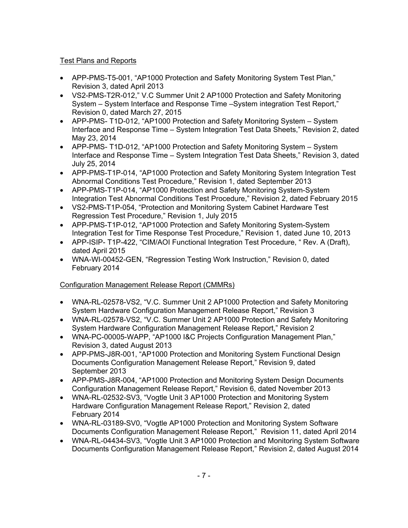# Test Plans and Reports

- APP-PMS-T5-001, "AP1000 Protection and Safety Monitoring System Test Plan," Revision 3, dated April 2013
- VS2-PMS-T2R-012," V.C Summer Unit 2 AP1000 Protection and Safety Monitoring System – System Interface and Response Time –System integration Test Report," Revision 0, dated March 27, 2015
- APP-PMS- T1D-012, "AP1000 Protection and Safety Monitoring System System Interface and Response Time – System Integration Test Data Sheets," Revision 2, dated May 23, 2014
- APP-PMS- T1D-012, "AP1000 Protection and Safety Monitoring System System Interface and Response Time – System Integration Test Data Sheets," Revision 3, dated July 25, 2014
- APP-PMS-T1P-014, "AP1000 Protection and Safety Monitoring System Integration Test Abnormal Conditions Test Procedure," Revision 1, dated September 2013
- APP-PMS-T1P-014, "AP1000 Protection and Safety Monitoring System-System Integration Test Abnormal Conditions Test Procedure," Revision 2, dated February 2015
- VS2-PMS-T1P-054, "Protection and Monitoring System Cabinet Hardware Test Regression Test Procedure," Revision 1, July 2015
- APP-PMS-T1P-012, "AP1000 Protection and Safety Monitoring System-System Integration Test for Time Response Test Procedure," Revision 1, dated June 10, 2013
- APP-ISIP- T1P-422, "CIM/AOI Functional Integration Test Procedure, " Rev. A (Draft), dated April 2015
- WNA-WI-00452-GEN, "Regression Testing Work Instruction," Revision 0, dated February 2014

# Configuration Management Release Report (CMMRs)

- WNA-RL-02578-VS2, "V.C. Summer Unit 2 AP1000 Protection and Safety Monitoring System Hardware Configuration Management Release Report," Revision 3
- WNA-RL-02578-VS2, "V.C. Summer Unit 2 AP1000 Protection and Safety Monitoring System Hardware Configuration Management Release Report," Revision 2
- WNA-PC-00005-WAPP, "AP1000 I&C Projects Configuration Management Plan," Revision 3, dated August 2013
- APP-PMS-J8R-001, "AP1000 Protection and Monitoring System Functional Design Documents Configuration Management Release Report," Revision 9, dated September 2013
- APP-PMS-J8R-004, "AP1000 Protection and Monitoring System Design Documents Configuration Management Release Report," Revision 6, dated November 2013
- WNA-RL-02532-SV3, "Vogtle Unit 3 AP1000 Protection and Monitoring System Hardware Configuration Management Release Report," Revision 2, dated February 2014
- WNA-RL-03189-SV0, "Vogtle AP1000 Protection and Monitoring System Software Documents Configuration Management Release Report," Revision 11, dated April 2014
- WNA-RL-04434-SV3, "Vogtle Unit 3 AP1000 Protection and Monitoring System Software Documents Configuration Management Release Report," Revision 2, dated August 2014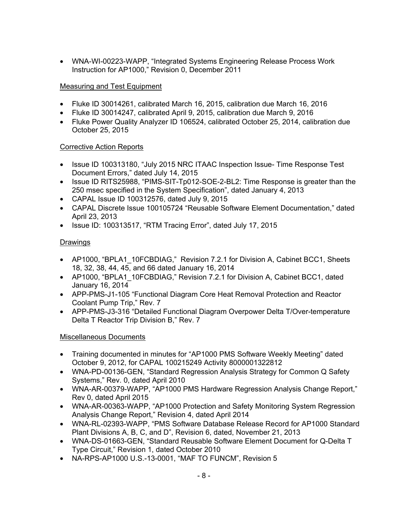• WNA-WI-00223-WAPP, "Integrated Systems Engineering Release Process Work Instruction for AP1000," Revision 0, December 2011

# Measuring and Test Equipment

- Fluke ID 30014261, calibrated March 16, 2015, calibration due March 16, 2016
- Fluke ID 30014247, calibrated April 9, 2015, calibration due March 9, 2016
- Fluke Power Quality Analyzer ID 106524, calibrated October 25, 2014, calibration due October 25, 2015

### Corrective Action Reports

- Issue ID 100313180, "July 2015 NRC ITAAC Inspection Issue- Time Response Test Document Errors," dated July 14, 2015
- Issue ID RITS25988, "PIMS-SIT-Tp012-SOE-2-BL2: Time Response is greater than the 250 msec specified in the System Specification", dated January 4, 2013
- CAPAL Issue ID 100312576, dated July 9, 2015
- CAPAL Discrete Issue 100105724 "Reusable Software Element Documentation," dated April 23, 2013
- Issue ID: 100313517, "RTM Tracing Error", dated July 17, 2015

# Drawings

- AP1000, "BPLA1\_10FCBDIAG," Revision 7.2.1 for Division A, Cabinet BCC1, Sheets 18, 32, 38, 44, 45, and 66 dated January 16, 2014
- AP1000, "BPLA1\_10FCBDIAG," Revision 7.2.1 for Division A, Cabinet BCC1, dated January 16, 2014
- APP-PMS-J1-105 "Functional Diagram Core Heat Removal Protection and Reactor Coolant Pump Trip," Rev. 7
- APP-PMS-J3-316 "Detailed Functional Diagram Overpower Delta T/Over-temperature Delta T Reactor Trip Division B," Rev. 7

### Miscellaneous Documents

- Training documented in minutes for "AP1000 PMS Software Weekly Meeting" dated October 9, 2012, for CAPAL 100215249 Activity 8000001322812
- WNA-PD-00136-GEN, "Standard Regression Analysis Strategy for Common Q Safety Systems," Rev. 0, dated April 2010
- WNA-AR-00379-WAPP, "AP1000 PMS Hardware Regression Analysis Change Report," Rev 0, dated April 2015
- WNA-AR-00363-WAPP, "AP1000 Protection and Safety Monitoring System Regression Analysis Change Report," Revision 4, dated April 2014
- WNA-RL-02393-WAPP, "PMS Software Database Release Record for AP1000 Standard Plant Divisions A, B, C, and D", Revision 6, dated, November 21, 2013
- WNA-DS-01663-GEN, "Standard Reusable Software Element Document for Q-Delta T Type Circuit," Revision 1, dated October 2010
- NA-RPS-AP1000 U.S.-13-0001, "MAF TO FUNCM", Revision 5